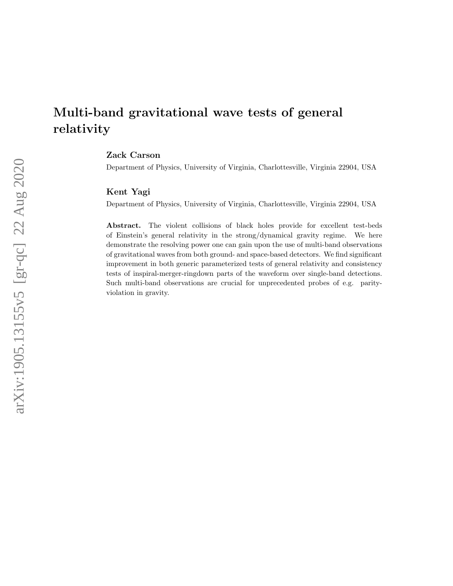## Multi-band gravitational wave tests of general relativity

Zack Carson

Department of Physics, University of Virginia, Charlottesville, Virginia 22904, USA

## Kent Yagi

Department of Physics, University of Virginia, Charlottesville, Virginia 22904, USA

Abstract. The violent collisions of black holes provide for excellent test-beds of Einstein's general relativity in the strong/dynamical gravity regime. We here demonstrate the resolving power one can gain upon the use of multi-band observations of gravitational waves from both ground- and space-based detectors. We find significant improvement in both generic parameterized tests of general relativity and consistency tests of inspiral-merger-ringdown parts of the waveform over single-band detections. Such multi-band observations are crucial for unprecedented probes of e.g. parityviolation in gravity.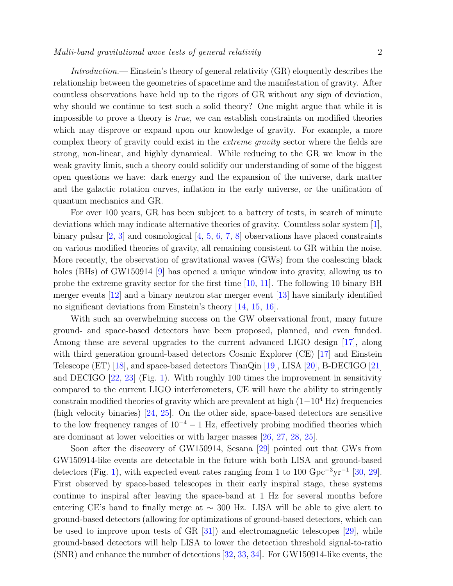Introduction.— Einstein's theory of general relativity (GR) eloquently describes the relationship between the geometries of spacetime and the manifestation of gravity. After countless observations have held up to the rigors of GR without any sign of deviation, why should we continue to test such a solid theory? One might argue that while it is impossible to prove a theory is true, we can establish constraints on modified theories which may disprove or expand upon our knowledge of gravity. For example, a more complex theory of gravity could exist in the extreme gravity sector where the fields are strong, non-linear, and highly dynamical. While reducing to the GR we know in the weak gravity limit, such a theory could solidify our understanding of some of the biggest open questions we have: dark energy and the expansion of the universe, dark matter and the galactic rotation curves, inflation in the early universe, or the unification of quantum mechanics and GR.

For over 100 years, GR has been subject to a battery of tests, in search of minute deviations which may indicate alternative theories of gravity. Countless solar system [\[1\]](#page-9-0), binary pulsar  $\left[2, 3\right]$  and cosmological  $\left[4, 5, 6, 7, 8\right]$  $\left[4, 5, 6, 7, 8\right]$  $\left[4, 5, 6, 7, 8\right]$  $\left[4, 5, 6, 7, 8\right]$  $\left[4, 5, 6, 7, 8\right]$  $\left[4, 5, 6, 7, 8\right]$  $\left[4, 5, 6, 7, 8\right]$  observations have placed constraints on various modified theories of gravity, all remaining consistent to GR within the noise. More recently, the observation of gravitational waves (GWs) from the coalescing black holes (BHs) of GW150914 [\[9\]](#page-10-6) has opened a unique window into gravity, allowing us to probe the extreme gravity sector for the first time [\[10,](#page-10-7) [11\]](#page-10-8). The following 10 binary BH merger events [\[12\]](#page-10-9) and a binary neutron star merger event [\[13\]](#page-10-10) have similarly identified no significant deviations from Einstein's theory [\[14,](#page-10-11) [15,](#page-10-12) [16\]](#page-10-13).

With such an overwhelming success on the GW observational front, many future ground- and space-based detectors have been proposed, planned, and even funded. Among these are several upgrades to the current advanced LIGO design [\[17\]](#page-10-14), along with third generation ground-based detectors Cosmic Explorer (CE) [\[17\]](#page-10-14) and Einstein Telescope (ET) [\[18\]](#page-10-15), and space-based detectors TianQin [\[19\]](#page-10-16), LISA [\[20\]](#page-10-17), B-DECIGO [\[21\]](#page-10-18) and DECIGO [\[22,](#page-10-19) [23\]](#page-10-20) (Fig. [1\)](#page-2-0). With roughly 100 times the improvement in sensitivity compared to the current LIGO interferometers, CE will have the ability to stringently constrain modified theories of gravity which are prevalent at high  $(1-10^4 \text{ Hz})$  frequencies (high velocity binaries) [\[24,](#page-10-21) [25\]](#page-10-22). On the other side, space-based detectors are sensitive to the low frequency ranges of  $10^{-4} - 1$  Hz, effectively probing modified theories which are dominant at lower velocities or with larger masses [\[26,](#page-10-23) [27,](#page-10-24) [28,](#page-10-25) [25\]](#page-10-22).

Soon after the discovery of GW150914, Sesana [\[29\]](#page-10-26) pointed out that GWs from GW150914-like events are detectable in the future with both LISA and ground-based detectors (Fig. [1\)](#page-2-0), with expected event rates ranging from 1 to 100 Gpc<sup>-3</sup>yr<sup>-1</sup> [\[30,](#page-10-27) [29\]](#page-10-26). First observed by space-based telescopes in their early inspiral stage, these systems continue to inspiral after leaving the space-band at 1 Hz for several months before entering CE's band to finally merge at  $\sim$  300 Hz. LISA will be able to give alert to ground-based detectors (allowing for optimizations of ground-based detectors, which can be used to improve upon tests of  $GR$  [\[31\]](#page-10-28)) and electromagnetic telescopes [\[29\]](#page-10-26), while ground-based detectors will help LISA to lower the detection threshold signal-to-ratio (SNR) and enhance the number of detections [\[32,](#page-10-29) [33,](#page-10-30) [34\]](#page-10-31). For GW150914-like events, the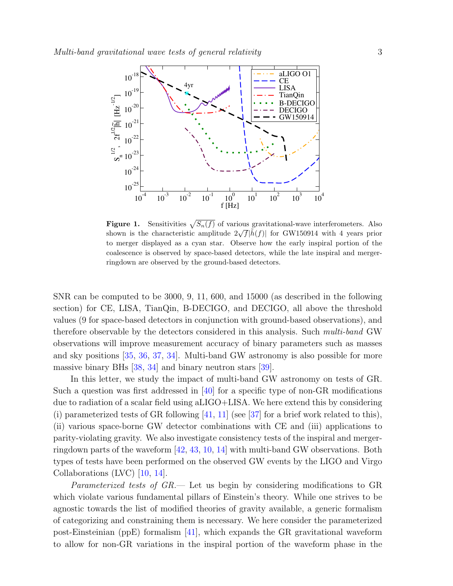

<span id="page-2-0"></span>**Figure 1.** Sensitivities  $\sqrt{S_n(f)}$  of various gravitational-wave interferometers. Also **Figure 1.** Sensitivities  $\sqrt{b_n}(f)$  or various gravitational-wave interferometers. Also shown is the characteristic amplitude  $2\sqrt{f}$   $|\tilde{h}(f)|$  for GW150914 with 4 years prior to merger displayed as a cyan star. Observe how the early inspiral portion of the coalescence is observed by space-based detectors, while the late inspiral and mergerringdown are observed by the ground-based detectors.

SNR can be computed to be 3000, 9, 11, 600, and 15000 (as described in the following section) for CE, LISA, TianQin, B-DECIGO, and DECIGO, all above the threshold values (9 for space-based detectors in conjunction with ground-based observations), and therefore observable by the detectors considered in this analysis. Such multi-band GW observations will improve measurement accuracy of binary parameters such as masses and sky positions [\[35,](#page-10-32) [36,](#page-10-33) [37,](#page-10-34) [34\]](#page-10-31). Multi-band GW astronomy is also possible for more massive binary BHs [\[38,](#page-10-35) [34\]](#page-10-31) and binary neutron stars [\[39\]](#page-10-36).

In this letter, we study the impact of multi-band GW astronomy on tests of GR. Such a question was first addressed in  $[40]$  for a specific type of non-GR modifications due to radiation of a scalar field using aLIGO+LISA. We here extend this by considering (i) parameterized tests of GR following  $[41, 11]$  $[41, 11]$  (see  $[37]$  for a brief work related to this), (ii) various space-borne GW detector combinations with CE and (iii) applications to parity-violating gravity. We also investigate consistency tests of the inspiral and mergerringdown parts of the waveform [\[42,](#page-10-39) [43,](#page-10-40) [10,](#page-10-7) [14\]](#page-10-11) with multi-band GW observations. Both types of tests have been performed on the observed GW events by the LIGO and Virgo Collaborations (LVC) [\[10,](#page-10-7) [14\]](#page-10-11).

Parameterized tests of GR.— Let us begin by considering modifications to GR which violate various fundamental pillars of Einstein's theory. While one strives to be agnostic towards the list of modified theories of gravity available, a generic formalism of categorizing and constraining them is necessary. We here consider the parameterized post-Einsteinian (ppE) formalism [\[41\]](#page-10-38), which expands the GR gravitational waveform to allow for non-GR variations in the inspiral portion of the waveform phase in the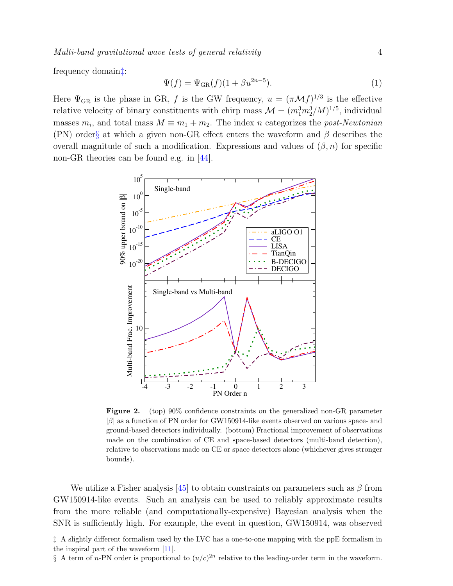frequency domain[‡](#page-3-0):

$$
\Psi(f) = \Psi_{\text{GR}}(f)(1 + \beta u^{2n-5}).\tag{1}
$$

Here  $\Psi_{\text{GR}}$  is the phase in GR, f is the GW frequency,  $u = (\pi \mathcal{M} f)^{1/3}$  is the effective relative velocity of binary constituents with chirp mass  $\mathcal{M} = (m_1^3 m_2^3/M)^{1/5}$ , individual masses  $m_i$ , and total mass  $M \equiv m_1 + m_2$ . The index n categorizes the *post-Newtonian* (PN) order[§](#page-3-1) at which a given non-GR effect enters the waveform and  $\beta$  describes the overall magnitude of such a modification. Expressions and values of  $(\beta, n)$  for specific non-GR theories can be found e.g. in [\[44\]](#page-11-0).



<span id="page-3-2"></span>Figure 2. (top) 90% confidence constraints on the generalized non-GR parameter  $|\beta|$  as a function of PN order for GW150914-like events observed on various space- and ground-based detectors individually. (bottom) Fractional improvement of observations made on the combination of CE and space-based detectors (multi-band detection), relative to observations made on CE or space detectors alone (whichever gives stronger bounds).

We utilize a Fisher analysis [\[45\]](#page-11-1) to obtain constraints on parameters such as  $\beta$  from GW150914-like events. Such an analysis can be used to reliably approximate results from the more reliable (and computationally-expensive) Bayesian analysis when the SNR is sufficiently high. For example, the event in question, GW150914, was observed

<span id="page-3-0"></span>‡ A slightly different formalism used by the LVC has a one-to-one mapping with the ppE formalism in the inspiral part of the waveform [\[11\]](#page-10-8).

<span id="page-3-1"></span>§ A term of *n*-PN order is proportional to  $(u/c)^{2n}$  relative to the leading-order term in the waveform.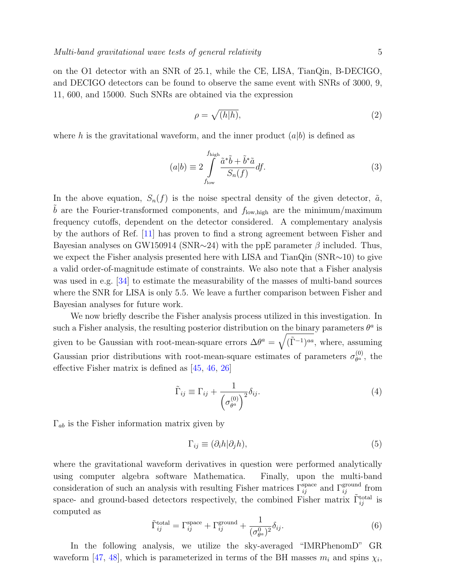on the O1 detector with an SNR of 25.1, while the CE, LISA, TianQin, B-DECIGO, and DECIGO detectors can be found to observe the same event with SNRs of 3000, 9, 11, 600, and 15000. Such SNRs are obtained via the expression

$$
\rho = \sqrt{(h|h)},\tag{2}
$$

where h is the gravitational waveform, and the inner product  $(a|b)$  is defined as

$$
(a|b) \equiv 2 \int_{f_{\text{low}}}^{f_{\text{high}}} \frac{\tilde{a}^* \tilde{b} + \tilde{b}^* \tilde{a}}{S_n(f)} df.
$$
\n
$$
(3)
$$

In the above equation,  $S_n(f)$  is the noise spectral density of the given detector,  $\tilde{a}$ ,  $\tilde{b}$  are the Fourier-transformed components, and  $f_{\text{low,high}}$  are the minimum/maximum frequency cutoffs, dependent on the detector considered. A complementary analysis by the authors of Ref. [\[11\]](#page-10-8) has proven to find a strong agreement between Fisher and Bayesian analyses on GW150914 (SNR∼24) with the ppE parameter  $\beta$  included. Thus, we expect the Fisher analysis presented here with LISA and TianQin (SNR∼10) to give a valid order-of-magnitude estimate of constraints. We also note that a Fisher analysis was used in e.g. [\[34\]](#page-10-31) to estimate the measurability of the masses of multi-band sources where the SNR for LISA is only 5.5. We leave a further comparison between Fisher and Bayesian analyses for future work.

We now briefly describe the Fisher analysis process utilized in this investigation. In such a Fisher analysis, the resulting posterior distribution on the binary parameters  $\theta^a$  is given to be Gaussian with root-mean-square errors  $\Delta\theta^a = \sqrt{(\tilde{\Gamma}^{-1})^{aa}}$ , where, assuming Gaussian prior distributions with root-mean-square estimates of parameters  $\sigma_{\theta^a}^{(0)}$  $\overset{(0)}{\theta^a}$ , the effective Fisher matrix is defined as [\[45,](#page-11-1) [46,](#page-11-2) [26\]](#page-10-23)

$$
\tilde{\Gamma}_{ij} \equiv \Gamma_{ij} + \frac{1}{\left(\sigma_{\theta^a}^{(0)}\right)^2} \delta_{ij}.
$$
\n(4)

 $\Gamma_{ab}$  is the Fisher information matrix given by

$$
\Gamma_{ij} \equiv (\partial_i h | \partial_j h), \tag{5}
$$

where the gravitational waveform derivatives in question were performed analytically using computer algebra software Mathematica. Finally, upon the multi-band consideration of such an analysis with resulting Fisher matrices  $\Gamma_{ij}^{\text{space}}$  and  $\Gamma_{ij}^{\text{ground}}$  from space- and ground-based detectors respectively, the combined Fisher matrix  $\tilde{\Gamma}_{ij}^{\text{total}}$  is computed as

$$
\tilde{\Gamma}_{ij}^{\text{total}} = \Gamma_{ij}^{\text{space}} + \Gamma_{ij}^{\text{ground}} + \frac{1}{(\sigma_{\theta^a}^0)^2} \delta_{ij}.
$$
\n(6)

In the following analysis, we utilize the sky-averaged "IMRPhenomD" GR waveform [\[47,](#page-11-3) [48\]](#page-11-4), which is parameterized in terms of the BH masses  $m_i$  and spins  $\chi_i$ ,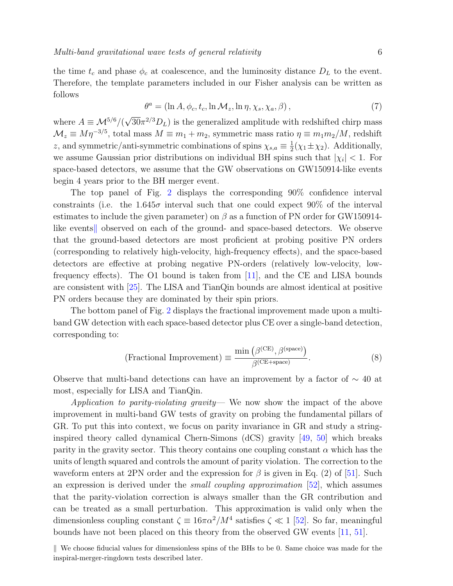the time  $t_c$  and phase  $\phi_c$  at coalescence, and the luminosity distance  $D_L$  to the event. Therefore, the template parameters included in our Fisher analysis can be written as follows

$$
\theta^a = (\ln A, \phi_c, t_c, \ln \mathcal{M}_z, \ln \eta, \chi_s, \chi_a, \beta), \tag{7}
$$

where  $A \equiv \mathcal{M}^{5/6}/($ √  $30\pi^{2/3}D_L$ ) is the generalized amplitude with redshifted chirp mass  $\mathcal{M}_z \equiv M \eta^{-3/5}$ , total mass  $M \equiv m_1 + m_2$ , symmetric mass ratio  $\eta \equiv m_1 m_2 / M$ , redshift z, and symmetric/anti-symmetric combinations of spins  $\chi_{s,a} \equiv \frac{1}{2}$  $\frac{1}{2}(\chi_1 \pm \chi_2)$ . Additionally, we assume Gaussian prior distributions on individual BH spins such that  $|\chi_i|$  < 1. For space-based detectors, we assume that the GW observations on GW150914-like events begin 4 years prior to the BH merger event.

The top panel of Fig. [2](#page-3-2) displays the corresponding 90% confidence interval constraints (i.e. the 1.645 $\sigma$  interval such that one could expect 90% of the interval estimates to include the given parameter) on  $\beta$  as a function of PN order for GW150914li[k](#page-5-0)e events, observed on each of the ground- and space-based detectors. We observe that the ground-based detectors are most proficient at probing positive PN orders (corresponding to relatively high-velocity, high-frequency effects), and the space-based detectors are effective at probing negative PN-orders (relatively low-velocity, lowfrequency effects). The O1 bound is taken from [\[11\]](#page-10-8), and the CE and LISA bounds are consistent with [\[25\]](#page-10-22). The LISA and TianQin bounds are almost identical at positive PN orders because they are dominated by their spin priors.

The bottom panel of Fig. [2](#page-3-2) displays the fractional improvement made upon a multiband GW detection with each space-based detector plus CE over a single-band detection, corresponding to:

(Fractional Improvement) 
$$
\equiv \frac{\min (\beta^{\text{(CE)}}, \beta^{\text{(space)}})}{\beta^{\text{(CE+space)}}}
$$
. (8)

Observe that multi-band detections can have an improvement by a factor of  $\sim$  40 at most, especially for LISA and TianQin.

Application to parity-violating gravity— We now show the impact of the above improvement in multi-band GW tests of gravity on probing the fundamental pillars of GR. To put this into context, we focus on parity invariance in GR and study a stringinspired theory called dynamical Chern-Simons (dCS) gravity [\[49,](#page-11-5) [50\]](#page-11-6) which breaks parity in the gravity sector. This theory contains one coupling constant  $\alpha$  which has the units of length squared and controls the amount of parity violation. The correction to the waveform enters at 2PN order and the expression for  $\beta$  is given in Eq. (2) of [\[51\]](#page-11-7). Such an expression is derived under the small coupling approximation [\[52\]](#page-11-8), which assumes that the parity-violation correction is always smaller than the GR contribution and can be treated as a small perturbation. This approximation is valid only when the dimensionless coupling constant  $\zeta \equiv 16\pi\alpha^2/M^4$  satisfies  $\zeta \ll 1$  [\[52\]](#page-11-8). So far, meaningful bounds have not been placed on this theory from the observed GW events [\[11,](#page-10-8) [51\]](#page-11-7).

<span id="page-5-0"></span> $\parallel$  We choose fiducial values for dimensionless spins of the BHs to be 0. Same choice was made for the inspiral-merger-ringdown tests described later.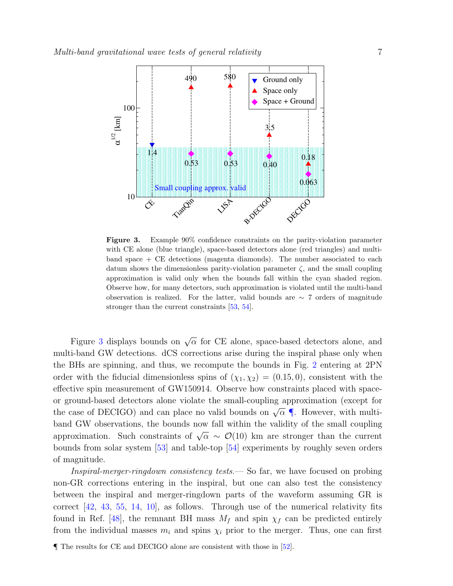

<span id="page-6-0"></span>Figure 3. Example 90% confidence constraints on the parity-violation parameter with CE alone (blue triangle), space-based detectors alone (red triangles) and multiband space + CE detections (magenta diamonds). The number associated to each datum shows the dimensionless parity-violation parameter  $\zeta$ , and the small coupling approximation is valid only when the bounds fall within the cyan shaded region. Observe how, for many detectors, such approximation is violated until the multi-band observation is realized. For the latter, valid bounds are  $\sim 7$  orders of magnitude stronger than the current constraints [\[53,](#page-11-9) [54\]](#page-11-10).

Figure [3](#page-6-0) displays bounds on  $\sqrt{\alpha}$  for CE alone, space-based detectors alone, and multi-band GW detections. dCS corrections arise during the inspiral phase only when the BHs are spinning, and thus, we recompute the bounds in Fig. [2](#page-3-2) entering at 2PN order with the fiducial dimensionless spins of  $(\chi_1, \chi_2) = (0.15, 0)$ , consistent with the effective spin measurement of GW150914. Observe how constraints placed with spaceor ground-based detectors alone violate the small-coupling approximation (except for the case of DECIGO) and can place no valid bounds on  $\sqrt{\alpha}$  . However, with multiband GW observations, the bounds now fall within the validity of the small coupling approximation. Such constraints of  $\sqrt{\alpha} \sim \mathcal{O}(10)$  km are stronger than the current bounds from solar system [\[53\]](#page-11-9) and table-top [\[54\]](#page-11-10) experiments by roughly seven orders of magnitude.

Inspiral-merger-ringdown consistency tests.— So far, we have focused on probing non-GR corrections entering in the inspiral, but one can also test the consistency between the inspiral and merger-ringdown parts of the waveform assuming GR is correct [\[42,](#page-10-39) [43,](#page-10-40) [55,](#page-11-11) [14,](#page-10-11) [10\]](#page-10-7), as follows. Through use of the numerical relativity fits found in Ref. [\[48\]](#page-11-4), the remnant BH mass  $M_f$  and spin  $\chi_f$  can be predicted entirely from the individual masses  $m_i$  and spins  $\chi_i$  prior to the merger. Thus, one can first

<span id="page-6-1"></span><sup>¶</sup> The results for CE and DECIGO alone are consistent with those in [\[52\]](#page-11-8).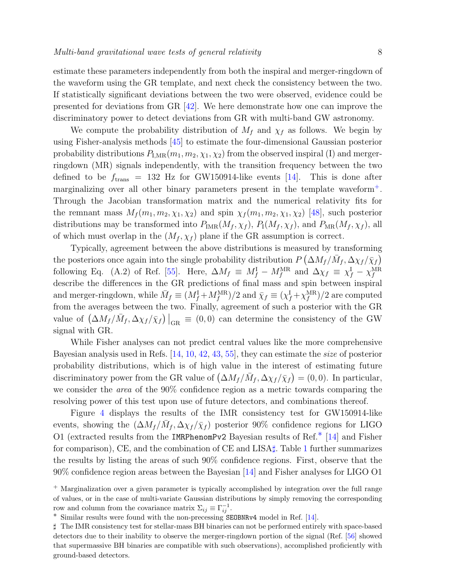estimate these parameters independently from both the inspiral and merger-ringdown of the waveform using the GR template, and next check the consistency between the two. If statistically significant deviations between the two were observed, evidence could be presented for deviations from GR [\[42\]](#page-10-39). We here demonstrate how one can improve the discriminatory power to detect deviations from GR with multi-band GW astronomy.

We compute the probability distribution of  $M_f$  and  $\chi_f$  as follows. We begin by using Fisher-analysis methods [\[45\]](#page-11-1) to estimate the four-dimensional Gaussian posterior probability distributions  $P_{I,MR}(m_1, m_2, \chi_1, \chi_2)$  from the observed inspiral (I) and mergerringdown (MR) signals independently, with the transition frequency between the two defined to be  $f_{\text{trans}} = 132$  Hz for GW150914-like events [\[14\]](#page-10-11). This is done after marginalizing over all other binary parameters present in the template waveform[+](#page-7-0). Through the Jacobian transformation matrix and the numerical relativity fits for the remnant mass  $M_f(m_1, m_2, \chi_1, \chi_2)$  and spin  $\chi_f(m_1, m_2, \chi_1, \chi_2)$  [\[48\]](#page-11-4), such posterior distributions may be transformed into  $P_{\text{IMR}}(M_f, \chi_f)$ ,  $P_{\text{I}}(M_f, \chi_f)$ , and  $P_{\text{MR}}(M_f, \chi_f)$ , all of which must overlap in the  $(M_f, \chi_f)$  plane if the GR assumption is correct.

Typically, agreement between the above distributions is measured by transforming the posteriors once again into the single probability distribution  $P(\Delta M_f/\bar{M}_f, \Delta \chi_f/\bar{\chi}_f)$ following Eq. (A.2) of Ref. [\[55\]](#page-11-11). Here,  $\Delta M_f \equiv M_f^{\rm I} - M_f^{\rm MR}$  and  $\Delta \chi_f \equiv \chi_f^{\rm I} - \chi_f^{\rm MR}$ describe the differences in the GR predictions of final mass and spin between inspiral and merger-ringdown, while  $\bar{M}_f \equiv (M_f^{\rm I} + M_f^{\rm MR})/2$  and  $\bar{\chi}_f \equiv (\chi_f^{\rm I} + \chi_f^{\rm MR})/2$  are computed from the averages between the two. Finally, agreement of such a posterior with the GR value of  $(\Delta M_f/\bar{M}_f, \Delta \chi_f/\bar{\chi}_f)$   $|_{\text{GR}} \equiv (0,0)$  can determine the consistency of the GW signal with GR.

While Fisher analyses can not predict central values like the more comprehensive Bayesian analysis used in Refs. [\[14,](#page-10-11) [10,](#page-10-7) [42,](#page-10-39) [43,](#page-10-40) [55\]](#page-11-11), they can estimate the size of posterior probability distributions, which is of high value in the interest of estimating future discriminatory power from the GR value of  $(\Delta M_f / \bar{M}_f, \Delta \chi_f / \bar{\chi}_f) = (0, 0)$ . In particular, we consider the area of the 90% confidence region as a metric towards comparing the resolving power of this test upon use of future detectors, and combinations thereof.

Figure [4](#page-8-0) displays the results of the IMR consistency test for GW150914-like events, showing the  $(\Delta M_f/\bar{M}_f, \Delta \chi_f/\bar{\chi}_f)$  posterior 90% confidence regions for LIGO O1 (extracted results from the IMRPhenomPv2 Bayesian results of Ref.[∗](#page-7-1) [\[14\]](#page-10-11) and Fisher for comparison), CE, and the combination of CE and LISA $\sharp$ . Table [1](#page-8-1) further summarizes the results by listing the areas of such 90% confidence regions. First, observe that the 90% confidence region areas between the Bayesian [\[14\]](#page-10-11) and Fisher analyses for LIGO O1

<span id="page-7-0"></span><sup>+</sup> Marginalization over a given parameter is typically accomplished by integration over the full range of values, or in the case of multi-variate Gaussian distributions by simply removing the corresponding row and column from the covariance matrix  $\Sigma_{ij} \equiv \Gamma_{ij}^{-1}$ .

<span id="page-7-2"></span><span id="page-7-1"></span><sup>∗</sup> Similar results were found with the non-precessing SEOBNRv4 model in Ref. [\[14\]](#page-10-11).

<sup>]</sup> The IMR consistency test for stellar-mass BH binaries can not be performed entirely with space-based detectors due to their inability to observe the merger-ringdown portion of the signal (Ref. [\[56\]](#page-11-12) showed that supermassive BH binaries are compatible with such observations), accomplished proficiently with ground-based detectors.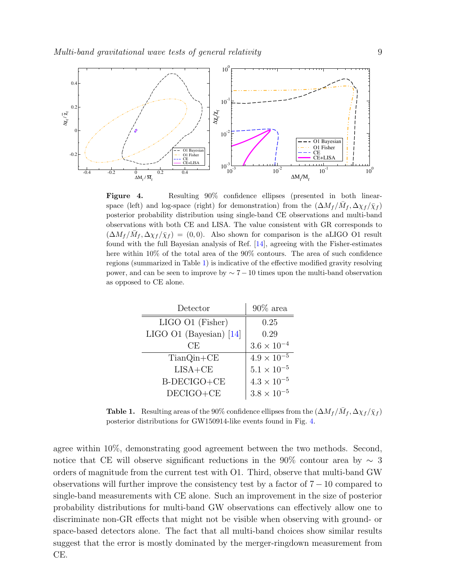

<span id="page-8-0"></span>Figure 4. Resulting 90% confidence ellipses (presented in both linearspace (left) and log-space (right) for demonstration) from the  $(\Delta M_f / \bar{M}_f, \Delta \chi_f / \bar{\chi}_f)$ posterior probability distribution using single-band CE observations and multi-band observations with both CE and LISA. The value consistent with GR corresponds to  $(\Delta M_f/\bar{M}_f, \Delta \chi_f/\bar{\chi}_f) = (0,0)$ . Also shown for comparison is the aLIGO O1 result found with the full Bayesian analysis of Ref. [\[14\]](#page-10-11), agreeing with the Fisher-estimates here within 10% of the total area of the 90% contours. The area of such confidence regions (summarized in Table [1\)](#page-8-1) is indicative of the effective modified gravity resolving power, and can be seen to improve by  $\sim 7-10$  times upon the multi-band observation as opposed to CE alone.

| Detector                  | $90\%$ area          |
|---------------------------|----------------------|
| LIGO O1 (Fisher)          | 0.25                 |
| LIGO O1 (Bayesian) $[14]$ | 0.29                 |
| CE                        | $3.6\times10^{-4}$   |
| $TianQin+CE$              | $4.9 \times 10^{-5}$ |
| $LISA+CE$                 | $5.1\times10^{-5}$   |
| B-DECIGO+CE               | $4.3\times10^{-5}$   |
| $DECIGO+CE$               | $3.8\times10^{-5}$   |

<span id="page-8-1"></span>**Table 1.** Resulting areas of the 90% confidence ellipses from the  $(\Delta M_f / \bar{M}_f, \Delta \chi_f / \bar{\chi}_f)$ posterior distributions for GW150914-like events found in Fig. [4.](#page-8-0)

agree within 10%, demonstrating good agreement between the two methods. Second, notice that CE will observe significant reductions in the 90% contour area by  $\sim$  3 orders of magnitude from the current test with O1. Third, observe that multi-band GW observations will further improve the consistency test by a factor of  $7 - 10$  compared to single-band measurements with CE alone. Such an improvement in the size of posterior probability distributions for multi-band GW observations can effectively allow one to discriminate non-GR effects that might not be visible when observing with ground- or space-based detectors alone. The fact that all multi-band choices show similar results suggest that the error is mostly dominated by the merger-ringdown measurement from CE.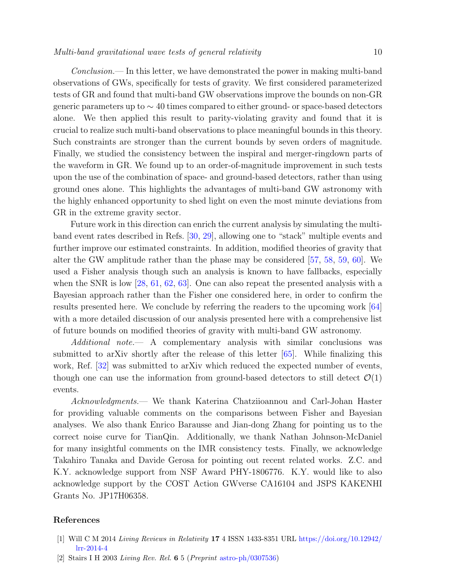Conclusion.— In this letter, we have demonstrated the power in making multi-band observations of GWs, specifically for tests of gravity. We first considered parameterized tests of GR and found that multi-band GW observations improve the bounds on non-GR generic parameters up to  $\sim$  40 times compared to either ground- or space-based detectors alone. We then applied this result to parity-violating gravity and found that it is crucial to realize such multi-band observations to place meaningful bounds in this theory. Such constraints are stronger than the current bounds by seven orders of magnitude. Finally, we studied the consistency between the inspiral and merger-ringdown parts of the waveform in GR. We found up to an order-of-magnitude improvement in such tests upon the use of the combination of space- and ground-based detectors, rather than using ground ones alone. This highlights the advantages of multi-band GW astronomy with the highly enhanced opportunity to shed light on even the most minute deviations from GR in the extreme gravity sector.

Future work in this direction can enrich the current analysis by simulating the multiband event rates described in Refs. [\[30,](#page-10-27) [29\]](#page-10-26), allowing one to "stack" multiple events and further improve our estimated constraints. In addition, modified theories of gravity that alter the GW amplitude rather than the phase may be considered [\[57,](#page-11-13) [58,](#page-11-14) [59,](#page-11-15) [60\]](#page-11-16). We used a Fisher analysis though such an analysis is known to have fallbacks, especially when the SNR is low [\[28,](#page-10-25) [61,](#page-11-17) [62,](#page-11-18) [63\]](#page-11-19). One can also repeat the presented analysis with a Bayesian approach rather than the Fisher one considered here, in order to confirm the results presented here. We conclude by referring the readers to the upcoming work [\[64\]](#page-11-20) with a more detailed discussion of our analysis presented here with a comprehensive list of future bounds on modified theories of gravity with multi-band GW astronomy.

Additional note. A complementary analysis with similar conclusions was submitted to arXiv shortly after the release of this letter [\[65\]](#page-11-21). While finalizing this work, Ref. [\[32\]](#page-10-29) was submitted to arXiv which reduced the expected number of events, though one can use the information from ground-based detectors to still detect  $\mathcal{O}(1)$ events.

Acknowledgments.— We thank Katerina Chatziioannou and Carl-Johan Haster for providing valuable comments on the comparisons between Fisher and Bayesian analyses. We also thank Enrico Barausse and Jian-dong Zhang for pointing us to the correct noise curve for TianQin. Additionally, we thank Nathan Johnson-McDaniel for many insightful comments on the IMR consistency tests. Finally, we acknowledge Takahiro Tanaka and Davide Gerosa for pointing out recent related works. Z.C. and K.Y. acknowledge support from NSF Award PHY-1806776. K.Y. would like to also acknowledge support by the COST Action GWverse CA16104 and JSPS KAKENHI Grants No. JP17H06358.

## References

- <span id="page-9-0"></span>[1] Will C M 2014 Living Reviews in Relativity 17 4 ISSN 1433-8351 URL [https://doi.org/10.12942/](https://doi.org/10.12942/lrr-2014-4) [lrr-2014-4](https://doi.org/10.12942/lrr-2014-4)
- <span id="page-9-1"></span>[2] Stairs I H 2003 Living Rev. Rel. 6 5 (Preprint [astro-ph/0307536\)](astro-ph/0307536)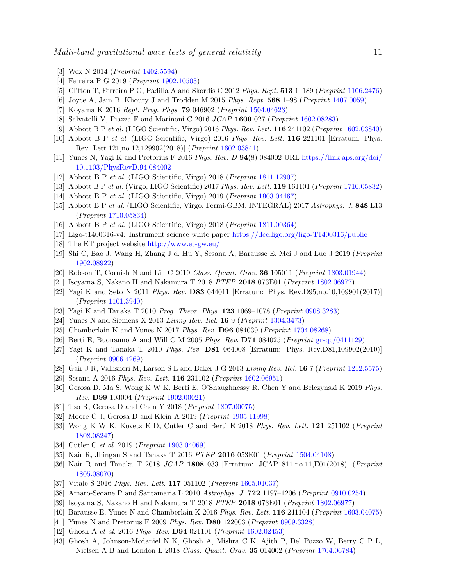- <span id="page-10-0"></span>[3] Wex N 2014 (Preprint [1402.5594\)](1402.5594)
- <span id="page-10-1"></span>[4] Ferreira P G 2019 (Preprint [1902.10503\)](1902.10503)
- <span id="page-10-2"></span>[5] Clifton T, Ferreira P G, Padilla A and Skordis C 2012 Phys. Rept. 513 1–189 (Preprint [1106.2476\)](1106.2476)
- <span id="page-10-3"></span>[6] Joyce A, Jain B, Khoury J and Trodden M 2015 Phys. Rept. 568 1–98 (Preprint [1407.0059\)](1407.0059)
- <span id="page-10-4"></span>[7] Koyama K 2016 Rept. Prog. Phys. 79 046902 (Preprint [1504.04623\)](1504.04623)
- <span id="page-10-5"></span>[8] Salvatelli V, Piazza F and Marinoni C 2016 JCAP 1609 027 (Preprint [1602.08283\)](1602.08283)
- <span id="page-10-6"></span>[9] Abbott B P et al. (LIGO Scientific, Virgo) 2016 Phys. Rev. Lett. 116 241102 (Preprint [1602.03840\)](1602.03840)
- <span id="page-10-7"></span>[10] Abbott B P et al. (LIGO Scientific, Virgo) 2016 Phys. Rev. Lett. 116 221101 [Erratum: Phys. Rev. Lett.121,no.12,129902(2018)] (Preprint [1602.03841\)](1602.03841)
- <span id="page-10-8"></span>[11] Yunes N, Yagi K and Pretorius F 2016 Phys. Rev. D 94(8) 084002 URL [https://link.aps.org/doi/](https://link.aps.org/doi/10.1103/PhysRevD.94.084002) [10.1103/PhysRevD.94.084002](https://link.aps.org/doi/10.1103/PhysRevD.94.084002)
- <span id="page-10-9"></span>[12] Abbott B P et al. (LIGO Scientific, Virgo) 2018 (Preprint [1811.12907\)](1811.12907)
- <span id="page-10-10"></span>[13] Abbott B P et al. (Virgo, LIGO Scientific) 2017 Phys. Rev. Lett. 119 161101 (Preprint [1710.05832\)](1710.05832)
- <span id="page-10-11"></span>[14] Abbott B P et al. (LIGO Scientific, Virgo) 2019 (Preprint [1903.04467\)](1903.04467)
- <span id="page-10-12"></span>[15] Abbott B P et al. (LIGO Scientific, Virgo, Fermi-GBM, INTEGRAL) 2017 Astrophys. J. 848 L13 (Preprint [1710.05834\)](1710.05834)
- <span id="page-10-13"></span>[16] Abbott B P et al. (LIGO Scientific, Virgo) 2018 (Preprint [1811.00364\)](1811.00364)
- <span id="page-10-14"></span>[17] Ligo-t1400316-v4: Instrument science white paper <https://dcc.ligo.org/ligo-T1400316/public>
- <span id="page-10-15"></span>[18] The ET project website <http://www.et-gw.eu/>
- <span id="page-10-16"></span>[19] Shi C, Bao J, Wang H, Zhang J d, Hu Y, Sesana A, Barausse E, Mei J and Luo J 2019 (Preprint [1902.08922\)](1902.08922)
- <span id="page-10-17"></span>[20] Robson T, Cornish N and Liu C 2019 Class. Quant. Grav. **36** 105011 (Preprint [1803.01944\)](1803.01944)
- <span id="page-10-18"></span>[21] Isoyama S, Nakano H and Nakamura T 2018 PTEP 2018 073E01 (Preprint [1802.06977\)](1802.06977)
- <span id="page-10-19"></span>[22] Yagi K and Seto N 2011 Phys. Rev. D83 044011 [Erratum: Phys. Rev.D95,no.10,109901(2017)] (Preprint [1101.3940\)](1101.3940)
- <span id="page-10-20"></span>[23] Yagi K and Tanaka T 2010 Prog. Theor. Phys. 123 1069–1078 (Preprint [0908.3283\)](0908.3283)
- <span id="page-10-21"></span>[24] Yunes N and Siemens X 2013 Living Rev. Rel. 16 9 (Preprint [1304.3473\)](1304.3473)
- <span id="page-10-22"></span>[25] Chamberlain K and Yunes N 2017 Phys. Rev. D96 084039 (Preprint [1704.08268\)](1704.08268)
- <span id="page-10-23"></span>[26] Berti E, Buonanno A and Will C M 2005 Phys. Rev. D71 084025 (Preprint [gr-qc/0411129\)](gr-qc/0411129)
- <span id="page-10-24"></span>[27] Yagi K and Tanaka T 2010 Phys. Rev. D81 064008 [Erratum: Phys. Rev.D81,109902(2010)] (Preprint [0906.4269\)](0906.4269)
- <span id="page-10-25"></span>[28] Gair J R, Vallisneri M, Larson S L and Baker J G 2013 Living Rev. Rel. 16 7 (Preprint [1212.5575\)](1212.5575)
- <span id="page-10-26"></span>[29] Sesana A 2016 Phys. Rev. Lett. 116 231102 (Preprint [1602.06951\)](1602.06951)
- <span id="page-10-27"></span>[30] Gerosa D, Ma S, Wong K W K, Berti E, O'Shaughnessy R, Chen Y and Belczynski K 2019 Phys. Rev. D99 103004 (Preprint [1902.00021\)](1902.00021)
- <span id="page-10-28"></span>[31] Tso R, Gerosa D and Chen Y 2018 (Preprint [1807.00075\)](1807.00075)
- <span id="page-10-29"></span>[32] Moore C J, Gerosa D and Klein A 2019 (Preprint [1905.11998\)](1905.11998)
- <span id="page-10-30"></span>[33] Wong K W K, Kovetz E D, Cutler C and Berti E 2018 Phys. Rev. Lett. 121 251102 (Preprint [1808.08247\)](1808.08247)
- <span id="page-10-31"></span>[34] Cutler C *et al.* 2019 (*Preprint* [1903.04069\)](1903.04069)
- <span id="page-10-32"></span>[35] Nair R, Jhingan S and Tanaka T 2016 PTEP 2016 053E01 (Preprint [1504.04108\)](1504.04108)
- <span id="page-10-33"></span>[36] Nair R and Tanaka T 2018 JCAP 1808 033 [Erratum: JCAP1811,no.11,E01(2018)] (Preprint [1805.08070\)](1805.08070)
- <span id="page-10-34"></span>[37] Vitale S 2016 Phys. Rev. Lett. 117 051102 (Preprint [1605.01037\)](1605.01037)
- <span id="page-10-35"></span>[38] Amaro-Seoane P and Santamaria L 2010 Astrophys. J. 722 1197–1206 (Preprint [0910.0254\)](0910.0254)
- <span id="page-10-36"></span>[39] Isoyama S, Nakano H and Nakamura T 2018 PTEP 2018 073E01 (Preprint [1802.06977\)](1802.06977)
- <span id="page-10-37"></span>[40] Barausse E, Yunes N and Chamberlain K 2016 Phys. Rev. Lett. 116 241104 (Preprint [1603.04075\)](1603.04075)
- <span id="page-10-38"></span>[41] Yunes N and Pretorius F 2009 Phys. Rev. D80 122003 (Preprint [0909.3328\)](0909.3328)
- <span id="page-10-39"></span>[42] Ghosh A et al. 2016 Phys. Rev. **D94** 021101 (Preprint [1602.02453\)](1602.02453)
- <span id="page-10-40"></span>[43] Ghosh A, Johnson-Mcdaniel N K, Ghosh A, Mishra C K, Ajith P, Del Pozzo W, Berry C P L, Nielsen A B and London L 2018 Class. Quant. Grav. 35 014002 (Preprint [1704.06784\)](1704.06784)